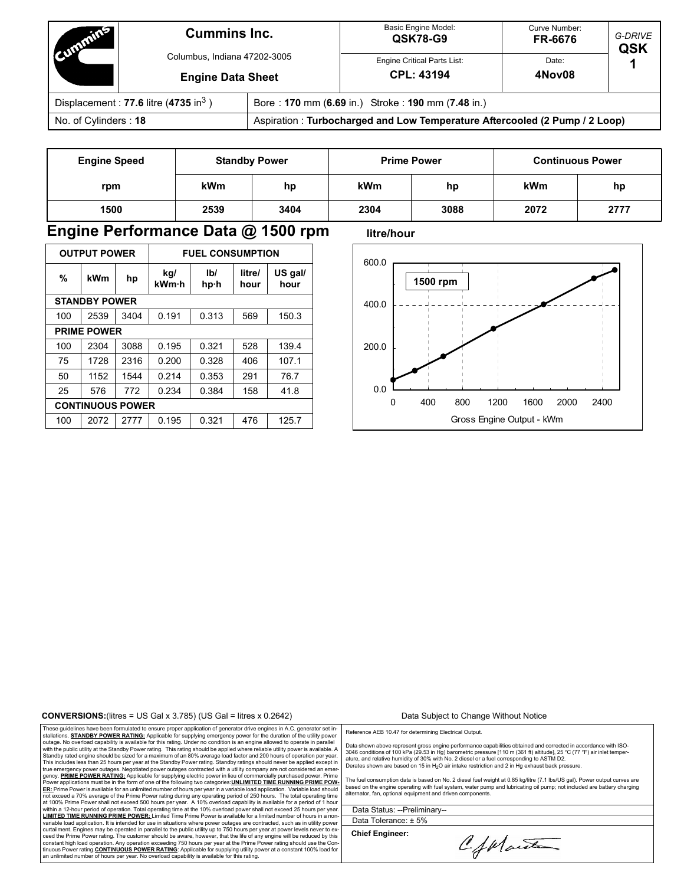| <b>Multiple</b>                          | <b>Cummins Inc.</b><br>Columbus, Indiana 47202-3005<br><b>Engine Data Sheet</b> |                                                                            | <b>Basic Engine Model:</b><br>QSK78-G9           | Curve Number:<br>FR-6676 | G-DRIVE<br><b>QSK</b> |  |
|------------------------------------------|---------------------------------------------------------------------------------|----------------------------------------------------------------------------|--------------------------------------------------|--------------------------|-----------------------|--|
|                                          |                                                                                 |                                                                            | Engine Critical Parts List:<br><b>CPL: 43194</b> | Date:<br>4Nov08          |                       |  |
| Displacement: 77.6 litre (4735 in $^3$ ) |                                                                                 | Bore: 170 mm (6.69 in.) Stroke: 190 mm (7.48 in.)                          |                                                  |                          |                       |  |
| No. of Cylinders: 18                     |                                                                                 | Aspiration: Turbocharged and Low Temperature Aftercooled (2 Pump / 2 Loop) |                                                  |                          |                       |  |

| <b>Engine Speed</b> | <b>Standby Power</b> |      | <b>Prime Power</b> |      | <b>Continuous Power</b> |      |  |
|---------------------|----------------------|------|--------------------|------|-------------------------|------|--|
| rpm                 | <b>kWm</b>           | hp   | <b>kWm</b>         | hp   | kWm                     | hp   |  |
| 1500                | 2539                 | 3404 | 2304               | 3088 | 2072                    | 2777 |  |

## **Engine Performance Data @ 1500 rpm** litre/hour

| <b>OUTPUT POWER</b>  |                         |      | <b>FUEL CONSUMPTION</b> |             |                |                 |  |
|----------------------|-------------------------|------|-------------------------|-------------|----------------|-----------------|--|
| %                    | kWm                     | hp   | kg/<br>kWm·h            | Ib/<br>hp·h | litre/<br>hour | US gal/<br>hour |  |
| <b>STANDBY POWER</b> |                         |      |                         |             |                |                 |  |
| 100                  | 2539                    | 3404 | 0.191                   | 0.313       | 569            | 150.3           |  |
| <b>PRIME POWER</b>   |                         |      |                         |             |                |                 |  |
| 100                  | 2304                    | 3088 | 0.195                   | 0.321       | 528            | 139.4           |  |
| 75                   | 1728                    | 2316 | 0.200                   | 0.328       | 406            | 107.1           |  |
| 50                   | 1152                    | 1544 | 0.214                   | 0.353       | 291            | 76.7            |  |
| 25                   | 576                     | 772  | 0.234                   | 0.384       | 158            | 41.8            |  |
|                      | <b>CONTINUOUS POWER</b> |      |                         |             |                |                 |  |
| 100                  | 2072                    | 2777 | 0.195                   | 0.321       | 476            | 125.7           |  |



### **CONVERSIONS:**(litres = US Gal x 3.785) (US Gal = litres x 0.2642) Data Subject to Change Without Notice

These guidelines have been formulated to ensure proper application of generator drive engines in A.C. generator set in-<br>stallations. STANDBY POWER RATING: Applicable for supplying emergency power for the duration of the ut This includes less than 25 hours per year at the Standby Power rating. Standby ratings should never be applied except in<br>true emergency power outages. Negotiated power outages contracted with a utility company are not cons **ER:** Prime Power is available for an unlimited number of hours per year in a variable load application. Variable load should not exceed a 70% average of the Prime Power rating during any operating period of 250 hours. The total operating time<br>at 100% Prime Power shall not exceed 500 hours per year. A 10% overload capability is available for a **LIMITED TIME RUNNING PRIME POWER:** Limited Time Prime Power is available for a limited number of hours in a non-<br>variable load application. It is intended for use in situations where power outages are contracted, such as ceed the Prime Power rating. The customer should be aware, however, that the life of any engine will be reduced by this constant high load operation. Any operation exceeding 750 hours per year at the Prime Power rating should use the Con-<br>tinuous Power rating <u>CO**NTINUOUS POWER RATING:** Appl</u>icable for supplying utility power at a constant

Reference AEB 10.47 for determining Electrical Output.

Data shown above represent gross engine performance capabilities obtained and corrected in accordance with ISO-<br>3046 conditions of 100 kPa (29.53 in Hg) barometric pressure [110 m (361 ft) altitude], 25 °C (77 °F) air inle

The fuel consumption data is based on No. 2 diesel fuel weight at 0.85 kg/litre (7.1 lbs/US gal). Power output curves are based on the engine operating with fuel system, water pump and lubricating oil pump; not included are battery charging alternator, fan, optional equipment and driven components.

Data Status: --Preliminary-- Data Tolerance: ± 5%

**Chief Engineer:**

CfMart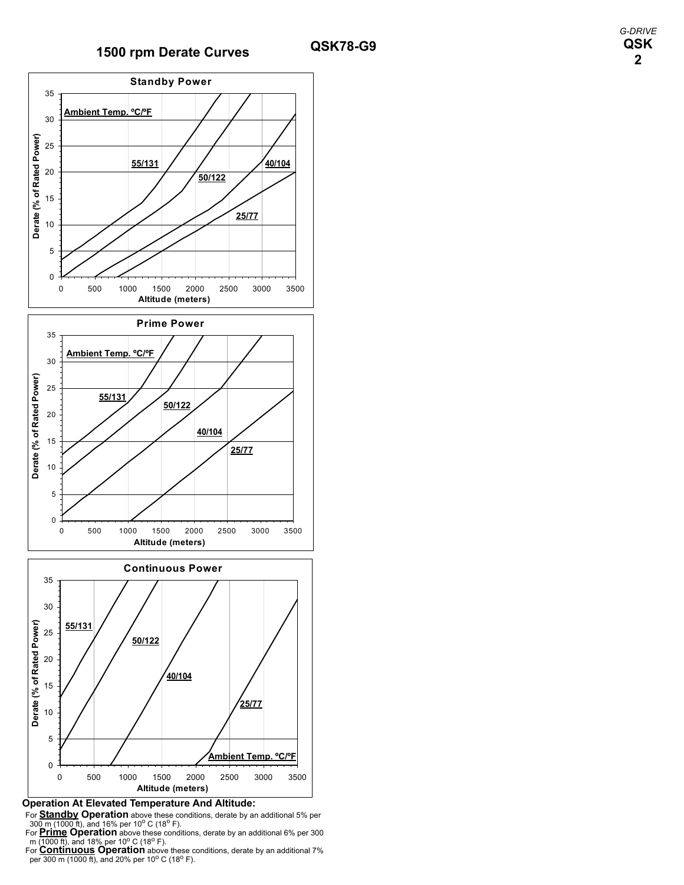# **1500 rpm Derate Curves QSK78-G9**



### **Operation At Elevated Temperature And Altitude:**

For **Standby Operation** above these conditions, derate by an additional 5% per 300 m (1000 ft), and 16% per 10<sup>o</sup> C (18<sup>o</sup> F).<br>For **Prime Operation** above these conditions, derate by an additional 6% per 300 m (1000 ft),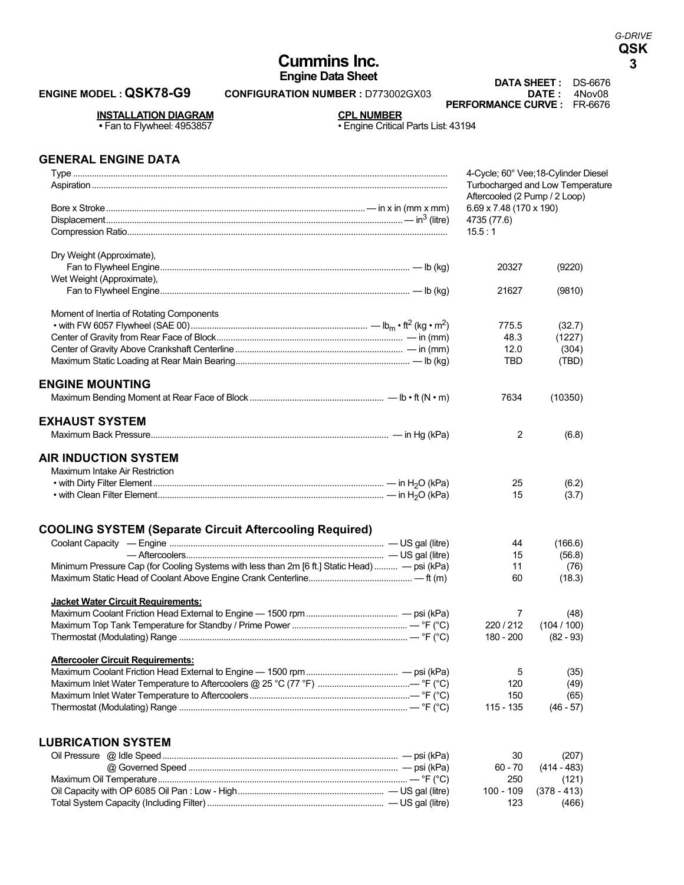# **Cummins Inc. 3**

## **ENGINE MODEL : QSK78-G9 CONFIGURATION NUMBER : D773002GX03**

**Engine Data Sheet**<br>**DATA SHEET :** DS-6676<br>**DATE :** 4Nov08 **PERFORMANCE CURVE :** FR-6676

**INSTALLATION DIAGRAM CPL NUMBER** 

• Fan to Flywheel: 4953857 • Engine Critical Parts List: 43194

## **GENERAL ENGINE DATA**

|                                                                                               | 4-Cycle; 60° Vee; 18-Cylinder Diesel<br>Turbocharged and Low Temperature |             |  |  |
|-----------------------------------------------------------------------------------------------|--------------------------------------------------------------------------|-------------|--|--|
|                                                                                               | Aftercooled (2 Pump / 2 Loop)                                            |             |  |  |
|                                                                                               | $6.69 \times 7.48$ (170 x 190)                                           |             |  |  |
|                                                                                               | 4735 (77.6)                                                              |             |  |  |
|                                                                                               | 15.5:1                                                                   |             |  |  |
| Dry Weight (Approximate),                                                                     |                                                                          |             |  |  |
|                                                                                               | 20327                                                                    | (9220)      |  |  |
| Wet Weight (Approximate),                                                                     |                                                                          |             |  |  |
|                                                                                               | 21627                                                                    | (9810)      |  |  |
| Moment of Inertia of Rotating Components                                                      |                                                                          |             |  |  |
|                                                                                               | 775.5                                                                    | (32.7)      |  |  |
|                                                                                               | 48.3                                                                     | (1227)      |  |  |
|                                                                                               | 12.0                                                                     | (304)       |  |  |
|                                                                                               | TBD                                                                      | (TBD)       |  |  |
| <b>ENGINE MOUNTING</b>                                                                        |                                                                          |             |  |  |
|                                                                                               | 7634                                                                     | (10350)     |  |  |
| <b>EXHAUST SYSTEM</b>                                                                         |                                                                          |             |  |  |
|                                                                                               | $\overline{2}$                                                           | (6.8)       |  |  |
| <b>AIR INDUCTION SYSTEM</b>                                                                   |                                                                          |             |  |  |
| Maximum Intake Air Restriction                                                                |                                                                          |             |  |  |
|                                                                                               | 25                                                                       | (6.2)       |  |  |
|                                                                                               | 15                                                                       | (3.7)       |  |  |
|                                                                                               |                                                                          |             |  |  |
| <b>COOLING SYSTEM (Separate Circuit Aftercooling Required)</b>                                |                                                                          |             |  |  |
|                                                                                               | 44                                                                       | (166.6)     |  |  |
|                                                                                               | 15                                                                       | (56.8)      |  |  |
| Minimum Pressure Cap (for Cooling Systems with less than 2m [6 ft.] Static Head)  - psi (kPa) | 11                                                                       | (76)        |  |  |
|                                                                                               | 60                                                                       | (18.3)      |  |  |
| <b>Jacket Water Circuit Requirements:</b>                                                     |                                                                          |             |  |  |
|                                                                                               | 7                                                                        | (48)        |  |  |
|                                                                                               | 220/212                                                                  | (104/100)   |  |  |
|                                                                                               | 180 - 200                                                                | $(82 - 93)$ |  |  |
| <b>Aftercooler Circuit Requirements:</b>                                                      |                                                                          |             |  |  |
|                                                                                               | 5                                                                        | (35)        |  |  |
|                                                                                               | 120                                                                      | (49)        |  |  |
|                                                                                               | 150                                                                      | (65)        |  |  |
|                                                                                               | 115 - 135                                                                | $(46 - 57)$ |  |  |
|                                                                                               |                                                                          |             |  |  |
| <b>LUBRICATION SYSTEM</b>                                                                     |                                                                          |             |  |  |

Oil Pressure @ Idle Speed.................................................................................................... — psi (kPa) 30 (207) @ Governed Speed ......................................................................................... — psi (kPa) 60 - 70 (414 - 483) Maximum Oil Temperature.......................................................................................................... — °F (°C) 250 (121) Oil Capacity with OP 6085 Oil Pan : Low - High.............................................................. — US gal (litre) 100 - 109 (378 - 413) Total System Capacity (Including Filter) ........................................................................... — US gal (litre) 123 (466)